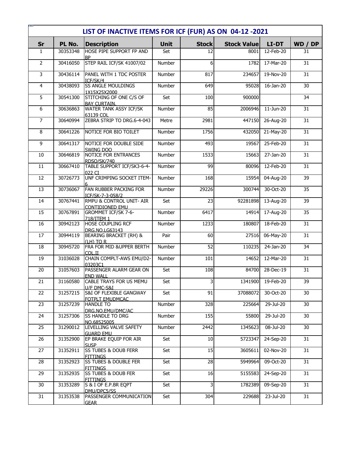|                | LIST OF INACTIVE ITEMS FOR ICF (FUR) AS ON 04-12-2021 |                                                       |             |              |                    |           |                 |  |  |
|----------------|-------------------------------------------------------|-------------------------------------------------------|-------------|--------------|--------------------|-----------|-----------------|--|--|
| <b>Sr</b>      | PL No.                                                | <b>Description</b>                                    | <b>Unit</b> | <b>Stock</b> | <b>Stock Value</b> | LI-DT     | WD / DP         |  |  |
| $\mathbf{1}$   | 30353348                                              | HOSE PIPE SUPPORT FP AND<br><b>BP</b>                 | Set         | 12           | 8001               | 12-Feb-20 | 31              |  |  |
| $\overline{2}$ | 30416050                                              | STEP RAIL ICF/SK 41007/02                             | Number      | 6            | 1782               | 17-Mar-20 | 31              |  |  |
| 3              | 30436114                                              | PANEL WITH 1 TDC POSTER<br>ICF/SK/4                   | Number      | 817          | 234657             | 19-Nov-20 | 31              |  |  |
| $\overline{4}$ | 30438093                                              | <b>SS ANGLE MOULDINGS</b><br>1X15X25X2000             | Number      | 649          | 95028              | 16-Jan-20 | 30              |  |  |
| 5              | 30541300                                              | STITCHING OF ONE C/S OF<br><b>BAY CURTAIN.</b>        | Set         | 100          | 900000             |           | 34              |  |  |
| 6              | 30636863                                              | WATER TANK ASSY ICF/SK<br>63139 COL                   | Number      | 85           | 2006946            | 11-Jun-20 | 31              |  |  |
| 7              | 30640994                                              | ZEBRA STRIP TO DRG.6-4-043                            | Metre       | 2981         | 447150             | 26-Aug-20 | 31              |  |  |
| 8              | 30641226                                              | NOTICE FOR BIO TOILET                                 | Number      | 1756         | 432050             | 21-May-20 | 31              |  |  |
| 9              | 30641317                                              | NOTICE FOR DOUBLE SIDE<br>SWING DOO                   | Number      | 493          | 19567              | 25-Feb-20 | 31              |  |  |
| 10             | 30646819                                              | <b>NOTICE FOR ENTRANCES</b><br>RDSO/SK/740            | Number      | 1533         | 15663              | 27-Jan-20 | 31              |  |  |
| 11             | 30667410                                              | TABLE SUPPORT ICF/SK3-6-4-<br>022 CT                  | Number      | 99           | 80096              | 12-Feb-20 | 31              |  |  |
| 12             | 30726773                                              | UNF CRIMPING SOCKET ITEM-                             | Number      | 168          | 15954              | 04-Aug-20 | 39              |  |  |
| 13             | 30736067                                              | FAN RUBBER PACKING FOR<br>ICF/SK-7-3-058/2            | Number      | 29226        | 300744             | 30-Oct-20 | 35              |  |  |
| 14             | 30767441                                              | RMPU & CONTROL UNIT- AIR<br><b>CONTIDIONED EMU</b>    | Set         | 23           | 92281898           | 13-Aug-20 | 39              |  |  |
| 15             | 30767891                                              | <b>GROMMET ICF/SK 7-6-</b><br>718/ITEM 1              | Number      | 6417         | 14914              | 17-Aug-20 | $\overline{35}$ |  |  |
| 16             | 30942123                                              | <b>HOSE COUPLING RCF</b><br>DRG.NO.LG63143            | Number      | 1233         | 180807             | 18-Feb-20 | 31              |  |  |
| 17             | 30944119                                              | <b>BEARING BRACKET (RH) &amp;</b><br>I(LH) TO R       | Pair        | 60           | 27516              | 06-May-20 | 31              |  |  |
| 18             | 30945720                                              | FRA FOR MID & UPPER BERTH<br>COL.II                   | Number      | 52           | 110235             | 24-Jan-20 | 34              |  |  |
| 19             | 31036028                                              | CHAIN COMPLT-AWS EMU/D2-<br>03203C1                   | Number      | 101          | 14652              | 12-Mar-20 | 31              |  |  |
| 20             | 31057603                                              | PASSENGER ALARM GEAR ON<br><b>END WALL</b>            | Set         | 108          | 84700              | 28-Dec-19 | 31              |  |  |
| 21             | 31160580                                              | CABLE TRAYS FOR US MEMU<br>U/F DMC-S&I                | Set         | 3            | 1341900            | 19-Feb-20 | 39              |  |  |
| 22             | 31257215                                              | <b>S&amp;I OF FLEXIBLE GANGWAY</b><br>FOTPLT EMUDMCAC | Set         | 91           | 37088072           | 30-Oct-20 | 30              |  |  |
| 23             | 31257239                                              | <b>HANDLE TO</b><br>DRG.NO.EMU/DMC/AC                 | Number      | 328          | 225664             | 29-Jul-20 | 30              |  |  |
| 24             | 31257306                                              | <b>SS HANDLE TO DRG</b><br>NO.68525005                | Number      | 155          | 55800              | 29-Jul-20 | 30              |  |  |
| 25             | 31290012                                              | LEVELLING VALVE SAFETY<br><b>GUARD EMU</b>            | Number      | 2442         | 1345623            | 08-Jul-20 | 30              |  |  |
| 26             | 31352900                                              | EP BRAKE EQUIP FOR AIR<br><b>SUSP</b>                 | Set         | 10           | 5723347            | 24-Sep-20 | 31              |  |  |
| 27             | 31352911                                              | <b>SS TUBES &amp; DOUB FERR</b><br><b>FITTINGS</b>    | Set         | 15           | 3605611            | 02-Nov-20 | 31              |  |  |
| 28             | 31352923                                              | <b>SS TUBES &amp; DOUBLE FER</b><br><b>FITTINGS</b>   | Set         | 28           | 5949964            | 09-Oct-20 | 31              |  |  |
| 29             | 31352935                                              | <b>SS TUBES &amp; DOUB FER</b><br><b>FITTINGS</b>     | Set         | 16           | 5155583            | 24-Sep-20 | 31              |  |  |
| 30             | 31353289                                              | S & I OF E.P.BR EQPT<br>DMU/DPC5/SS                   | Set         | 3            | 1782389            | 09-Sep-20 | 31              |  |  |
| 31             | 31353538                                              | PASSENGER COMMUNICATION<br><b>GEAR</b>                | Set         | 304          | 229688             | 23-Jul-20 | 31              |  |  |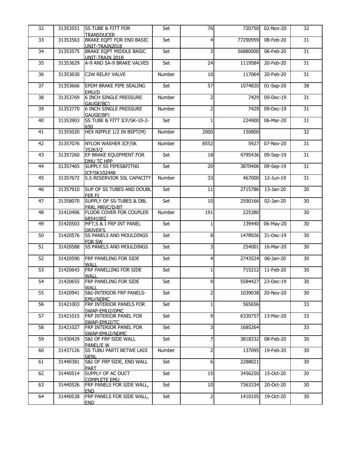| 32 | 31353551 | <b>ISS TUBE &amp; FITT FOR</b>                           | Set           | 76             | 720750   | 02-Nov-20 | 32 |
|----|----------|----------------------------------------------------------|---------------|----------------|----------|-----------|----|
| 33 | 31353563 | <b>TRANSDUCER</b><br><b>BRAKE EQPT FOR END BASIC</b>     | Set           | $\overline{4}$ | 77290959 | 08-Feb-20 | 31 |
| 34 | 31353575 | UNIT-TRAIN2018<br>BRAKE EQPT MIDDLE BASIC                | Set           | 3              | 56880000 | 06-Feb-20 | 31 |
| 35 | 31353629 | UNIT-TRAIN 2018<br>A-9 AND SA-9 BRAKE VALVES             | Set           | 24             | 1119584  | 20-Feb-20 | 31 |
| 36 | 31353630 | <b>C2W RELAY VALVE</b>                                   | Number        | 10             | 117064   | 20-Feb-20 | 31 |
|    |          |                                                          |               |                |          |           |    |
| 37 | 31353666 | EPDM BRAKE PIPE SEALING<br>EMU/D                         | Set           | 57             | 1074820  | 01-Sep-20 | 38 |
| 38 | 31353769 | <b>6 INCH SINGLE PRESSURE</b><br>GAUGE(BC)               | Number        | $\overline{2}$ | 7429     | 09-Dec-19 | 31 |
| 39 | 31353770 | <b>6 INCH SINGLE PRESSURE</b><br>GAUGE(BP)               | Number        | $\overline{2}$ | 7429     | 09-Dec-19 | 31 |
| 40 | 31353903 | SS TUBE & FITT ICF/SK-10-2-<br>650                       | Set           |                | 224900   | 06-Mar-20 | 31 |
| 41 | 31355020 | HEX NIPPLE 1/2 IN BSPT(M)                                | Number        | 2000           | 150800   |           | 32 |
| 42 | 31357076 | <b>NYLON WASHER ICF/SK</b>                               | Number        | 8552           | 5927     | 07-Nov-20 | 31 |
| 43 | 31357260 | 35263/2<br>EP BRAKE EQUIPMENT FOR                        | Set           | 18             | 4795436  | 09-Sep-19 | 31 |
| 44 | 31357465 | DMU TC HPP<br><b>SUPPLY SS PIPES&amp;FITNG</b>           | Set           | 20             | 3870406  | 09-Sep-19 | 31 |
| 45 | 31357672 | <b>ICF/SK102448</b><br><b>S.S RESERVIOR 50L CAPACITY</b> | Number        | 33             | 467000   | 12-Jun-19 | 31 |
| 46 | 31357910 | SUP OF SS TUBES AND DOUBL                                | Set           | 11             | 2715786  | 13-Jan-20 | 30 |
| 47 | 31358070 | FER FI<br>SUPPLY OF SS-TUBES & DBL                       | Set           | 10             | 2590166  | 02-Jan-20 | 30 |
| 48 | 31410406 | FRRL MRVC/D/BT<br><b>FLOOR COVER FOR COUPLER</b>         | Number        | 191            | 225380   |           | 30 |
|    |          | 68541002                                                 |               |                |          |           |    |
| 49 | 31420503 | MFT, S & I FRP INT PANEL<br><b>DRIVER'S</b>              | Set           | $\mathbf{1}$   | 139440   | 06-May-20 | 30 |
| 50 | 31420576 | <b>SS PANELS AND MOULDINGS</b><br>FOR SW                 | Set           | 8              | 1478926  | 31-Dec-19 | 30 |
| 51 | 31420588 | <b>SS PANELS AND MOULDINGS</b>                           | Set           | 3              | 254001   | 16-Mar-20 | 30 |
| 52 | 31420590 | <b>FRP PANELING FOR SIDE</b><br>WALL                     | Set           | $\overline{4}$ | 2743524  | 06-Jan-20 | 30 |
| 53 | 31420643 | FRP PANELLING FOR SIDE                                   | Set           | 1              | 715212   | 11-Feb-20 | 30 |
| 54 | 31420655 | <b>WALL</b><br><b>FRP PANELING FOR SIDE</b>              | Set           | 9              | 5584427  | 23-Dec-19 | 30 |
| 55 | 31420941 | <b>WALL</b><br><b>S&amp;I-INTERIOR FRP PANELS-</b>       | Set           | $\overline{2}$ | 1039038  | 20-Nov-20 | 30 |
| 56 | 31421003 | EMU/NDMC<br><b>FRP INTERIOR PANELS FOR</b>               | Set           | 1              | 565656   |           | 33 |
| 57 | 31421015 | SWAP-EMU2/DMC<br><b>FRP INTERIOR PANEL FOR</b>           | Set           | 9              | 6330757  | 13-Mar-20 | 33 |
| 58 | 31421027 | SWAP-EMU2/TC<br>FRP INTERIOR PANEL FOR                   | Set           | 3              | 1685264  |           | 33 |
| 59 | 31430429 | SWAP-EMU2/NDMC<br><b>S&amp;I OF FRP SIDE WALL</b>        | Set           | $\overline{7}$ | 3818332  | 08-Feb-20 | 30 |
| 60 | 31437126 | PANEL/E W<br><b>SS TUBU PARTI BETWE LADI</b>             | <b>Number</b> | $\overline{2}$ | 137095   | 19-Feb-20 | 30 |
|    |          | <b>GENL</b>                                              |               |                |          |           |    |
| 61 | 31440381 | S&I OF FRP SIDE, END WALL<br><b>PART</b>                 | Set           | 6              | 2288021  |           | 30 |
| 62 | 31440514 | SUPPLY OF AC DUCT<br><b>COMPLETE EMU</b>                 | Set           | 15             | 3456250  | 15-Oct-20 | 30 |
| 63 | 31440526 | FRP PANELS FOR SIDE WALL,<br><b>END</b>                  | Set           | 10             | 7363334  | 20-Oct-20 | 30 |
| 64 | 31440538 | FRP PANELS FOR SIDE WALL,<br><b>END</b>                  | Set           | $\overline{2}$ | 1410105  | 19-Oct-20 | 30 |
|    |          |                                                          |               |                |          |           |    |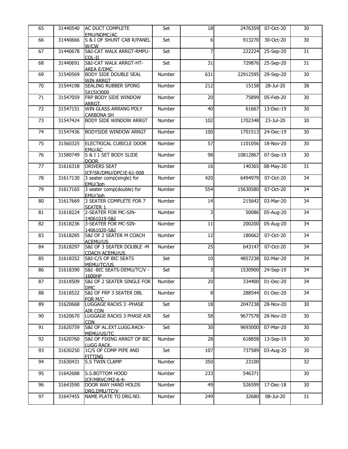| 65 | 31440540 | AC DUCT COMPLETE<br>EMU/NDMC/AC                        | Set           | 18  | 2476359  | 07-Oct-20 | 30 |
|----|----------|--------------------------------------------------------|---------------|-----|----------|-----------|----|
| 66 | 31440666 | S & I OF SHUNT CAB R/PANEL<br>W/CW                     | Set           | 6   | 913270   | 30-Oct-20 | 30 |
| 67 | 31440678 | S&I-CAT WALK ARRGT-RMPU-<br>COL-II                     | Set           | 7   | 222224   | 25-Sep-20 | 31 |
| 68 | 31440691 | <b>S&amp;I-CAT WALK ARRGT-HT-</b><br><b>AREA E/DMC</b> | Set           | 31  | 729876   | 25-Sep-20 | 31 |
| 69 | 31540569 | <b>BODY SIDE DOUBLE SEAL</b><br><b>WIN ARRGT</b>       | Number        | 631 | 22912595 | 29-Sep-20 | 30 |
| 70 | 31544198 | <b>SEALING RUBBER SPONG</b><br>5X15X3000               | Number        | 212 | 15158    | 28-Jul-20 | 38 |
| 71 | 31547059 | FRP BODY SIDE WINDOW<br>ARRGT.                         | Number        | 20  | 75899    | 05-Feb-20 | 30 |
| 72 | 31547151 | WIN GLASS ARRANG POLY<br><b>CARBONA SH</b>             | Number        | 40  | 61667    | 13-Dec-19 | 30 |
| 73 | 31547424 | <b>BODY SIDE WINDOW ARRGT</b>                          | Number        | 102 | 1702348  | 23-Jul-20 | 30 |
| 74 | 31547436 | <b>BODYSIDE WINDOW ARRGT</b>                           | Number        | 100 | 1701513  | 24-Dec-19 | 30 |
| 75 | 31560325 | ELECTRICAL CUBICLE DOOR<br>EMU/AC                      | Number        | 57  | 1101056  | 18-Nov-20 | 30 |
| 76 | 31580749 | S & I 1 SET BODY SLIDE<br><b>DOOR</b>                  | Number        | 98  | 10812867 | 07-Sep-19 | 30 |
| 77 | 31616318 | <b>DRIVERS SEAT</b><br>ICF/SR/DMU/DPC/E-61-008         | Number        | 16  | 140365   | 08-May-20 | 31 |
| 78 | 31617130 | 3 seater comp(single) for<br>EMU/3ph                   | Number        | 420 | 6494979  | 07-Oct-20 | 34 |
| 79 | 31617165 | 3 seater comp(double) for<br>EMU/3ph                   | Number        | 554 | 15630580 | 07-Oct-20 | 34 |
| 80 | 31617669 | 3 SEATER COMPLETE FOR 7<br><b>SEATER 1</b>             | Number        | 14  | 215642   | 03-Mar-20 | 34 |
| 81 | 31618224 | 2-SEATER FOR MC-SIN-<br>14061019-S&I                   | Number        | 3   | 50086    | 05-Aug-20 | 34 |
| 82 | 31618236 | 3-SEATER FOR MC-SIN-<br>14061020-S&I                   | Number        | 11  | 200200   | 05-Aug-20 | 34 |
| 83 | 31618285 | S&I OF 2 SEATER M COACH<br>ACEMU/US                    | Number        | 12  | 180662   | 07-Oct-20 | 34 |
| 84 | 31618297 | S&I OF 3 SEATER DOUBLE -M<br><b>COACH ACEMU/US</b>     | <b>Number</b> | 25  | 643147   | 07-Oct-20 | 34 |
| 85 | 31618352 | S&I-C/S OF BIC SEATS<br>MEMU/TC/US                     | Set           | 10  | 4857238  | 02-Mar-20 | 34 |
| 86 | 31618390 | S&I -BIC SEATS-DEMU/TC/V -<br>1600HP                   | Set           | 3   | 1530900  | 24-Sep-19 | 34 |
| 87 | 31618509 | S&I OF 2 SEATER SINGLE FOR<br><b>DMC</b>               | Number        | 20  | 334400   | 01-Dec-20 | 34 |
| 88 | 31618522 | S&I OF FRP 3 SEATER DBL<br>FOR M/C                     | Number        | 8   | 288544   | 01-Dec-20 | 34 |
| 89 | 31620668 | LUGGAGE RACKS 3 - PHASE<br>AIR CON                     | Set           | 18  | 2047238  | 28-Nov-20 | 30 |
| 90 | 31620670 | LUGGAGE RACKS 3 PHASE AIR<br>CON.                      | Set           | 58  | 9677578  | 28-Nov-20 | 30 |
| 91 | 31620759 | S&I OF AL.EXT.LUGG.RACK-<br>MEMU/US/TC                 | Set           | 30  | 9693000  | 07-Mar-20 | 30 |
| 92 | 31620760 | S&I OF FIXING ARRGT OF BIC<br>LUGG RACK.               | Number        | 28  | 618858   | 13-Sep-19 | 30 |
| 93 | 31630250 | 1C/S OF COMP PIPE AND<br><b>FITTING</b>                | Set           | 107 | 737589   | 03-Aug-20 | 30 |
| 94 | 31630431 | <b>S.S TWIN CLAMP</b>                                  | Number        | 350 | 23100    |           | 32 |
| 95 | 31642688 | S.S.BOTTOM HOOD<br>ICF/MRVC/M2-6-4-                    | Number        | 233 | 546371   |           | 30 |
| 96 | 31643590 | <b>DOOR WAY HAND HOLDS</b><br>DRG.DMU/TC/V             | Number        | 49  | 526599   | 17-Dec-18 | 30 |
| 97 | 31647455 | NAME PLATE TO DRG.NO.                                  | Number        | 249 | 32680    | 08-Jul-20 | 31 |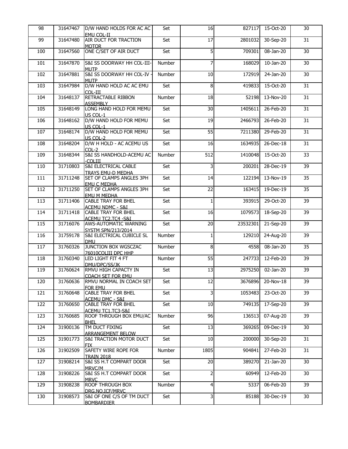| 98  | 31647467 | D/W HAND HOLDS FOR AC AC                                    | Set    | 16             | 827117   | 15-Oct-20        | 30 |
|-----|----------|-------------------------------------------------------------|--------|----------------|----------|------------------|----|
| 99  | 31647480 | EMU COL-II<br>AIR DUCT FOR TRACTION<br><b>MOTOR</b>         | Set    | 17             | 2801032  | 30-Sep-20        | 31 |
| 100 | 31647560 | ONE C/SET OF AIR DUCT                                       | Set    | 5              | 709301   | 08-Jan-20        | 30 |
| 101 | 31647870 | S&I SS DOORWAY HH COL-III-<br><b>MUTP</b>                   | Number | 7              | 168029   | 10-Jan-20        | 30 |
| 102 | 31647881 | S&I SS DOORWAY HH COL-IV -<br><b>MUTP</b>                   | Number | 10             |          | 172919 24-Jan-20 | 30 |
| 103 | 31647984 | D/W HAND HOLD AC AC EMU<br>COL-III                          | Set    | 8              | 419833   | 15-Oct-20        | 31 |
| 104 | 31648137 | RETRACTABLE RIBBON<br><b>ASSEMBLY</b>                       | Number | 18             |          | 52198 13-Nov-20  | 31 |
| 105 | 31648149 | LONG HAND HOLD FOR MEMU<br>US COL-1                         | Set    | 30             | 1405611  | 26-Feb-20        | 31 |
| 106 | 31648162 | D/W HAND HOLD FOR MEMU<br>US COL-1                          | Set    | 19             | 2466793  | 26-Feb-20        | 31 |
| 107 | 31648174 | D/W HAND HOLD FOR MEMU<br>US COL-2                          | Set    | 55             | 7211380  | 29-Feb-20        | 31 |
| 108 | 31648204 | D/W H HOLD - AC ACEMU US<br>$COL-2$                         | Set    | 16             | 1634935  | 26-Dec-18        | 31 |
| 109 | 31648344 | S&I SS HANDHOLD-ACEMU AC<br>-COLIII                         | Number | 512            | 1410048  | 15-Oct-20        | 33 |
| 110 | 31710803 | <b>S&amp;I ELECTRICAL CABLE</b><br><b>TRAYS EMU-D MEDHA</b> | Set    | 3              | 200201   | 28-Dec-19        | 39 |
| 111 | 31711248 | SET OF CLAMPS ANGLES 3PH<br><b>EMU C MEDHA</b>              | Set    | 14             | 122194   | 13-Nov-19        | 35 |
| 112 | 31711250 | SET OF CLAMPS ANGLES 3PH<br><b>EMU M MEDHA</b>              | Set    | 22             | 163415   | 19-Dec-19        | 35 |
| 113 | 31711406 | <b>CABLE TRAY FOR BHEL</b><br><b>ACEMU NDMC - S&amp;I</b>   | Set    | 1              | 393915   | 29-Oct-20        | 39 |
| 114 | 31711418 | <b>CABLE TRAY FOR BHEL</b><br>ACEMU TC2.TC4 -S&I            | Set    | 16             | 1079573  | 18-Sep-20        | 39 |
| 115 | 31716076 | <b>AWS-AUTOMATIC WARNING</b><br><b>SYSTM SPN/213/2014</b>   | Set    | 20             | 23532301 | 21-Sep-20        | 39 |
| 116 | 31759178 | <b>S&amp;I ELECTRICAL CUBICLE SL</b><br>DMU.                | Number | 1              |          | 129210 24-Aug-20 | 39 |
| 117 | 31760326 | JUNCTION BOX WGSCZAC<br>76010COLIII DPC HHP                 | Number | 8              | 4558     | 08-Jan-20        | 35 |
| 118 | 31760340 | LED LIGHT FIT 4 FT<br>DMU/DPC/SS/JK                         | Number | 55             | 247733   | 12-Feb-20        | 39 |
| 119 | 31760624 | RMVU HIGH CAPACTY IN<br><b>COACH SET FOR EMU</b>            | Set    | 13             | 2975250  | 02-Jan-20        | 39 |
| 120 | 31760636 | RMVU NORMAL IN COACH SET<br>FOR EMU                         | Set    | 12             | 3676896  | 20-Nov-18        | 39 |
| 121 | 31760648 | <b>CABLE TRAY FOR BHEL</b><br><u>ACEMU DMC - S&amp;I</u>    | Set    | 3              | 1053483  | 23-Oct-20        | 39 |
| 122 | 31760650 | <b>CABLE TRAY FOR BHEL</b><br>ACEMU TC1.TC3-S&I             | Set    | 10             | 749135   | 17-Sep-20        | 39 |
| 123 | 31760685 | <b>ROOF THROUGH BOX EMU/AC</b><br><b>BHEL</b>               | Number | 96             | 136513   | 07-Aug-20        | 39 |
| 124 | 31900136 | TM DUCT FIXING<br><b>ARRANGEMENT BELOW</b>                  | Set    | 13             | 369265   | 09-Dec-19        | 30 |
| 125 | 31901773 | <b>S&amp;I TRACTION MOTOR DUCT</b><br>FIX.                  | Set    | 10             | 200000   | 30-Sep-20        | 31 |
| 126 | 31902509 | SAFETY WIRE ROPE FOR<br>TRAIN 2018                          | Number | 1805           | 904841   | 27-Feb-20        | 31 |
| 127 | 31908214 | <b>S&amp;I SS H.T COMPART DOOR</b><br>MRVC/M                | Set    | 20             | 389270   | $21$ -Jan-20     | 30 |
| 128 | 31908226 | S&I SS H.T COMPART DOOR<br><b>MRVC</b>                      | Set    | $\overline{2}$ | 60949    | 12-Feb-20        | 30 |
| 129 | 31908238 | <b>ROOF THROUGH BOX</b><br>DRG.NO.ICF/MRVC                  | Number | $\overline{4}$ | 5337     | 06-Feb-20        | 39 |
| 130 | 31908573 | S&I OF ONE C/S OF TM DUCT<br><b>BOMBARDIER</b>              | Set    | 3              | 85188    | 30-Dec-19        | 30 |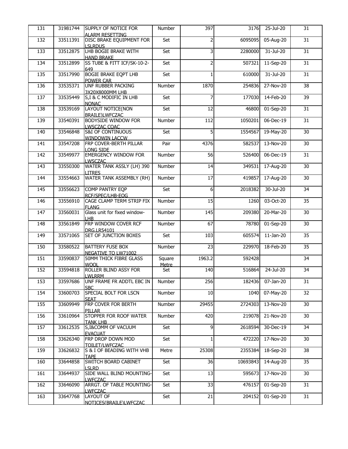| 131 | 31981744 | SUPPLY OF NOTICE FOR                                  | Number       | 397            | 3176     | 25-Jul-20               | 31 |
|-----|----------|-------------------------------------------------------|--------------|----------------|----------|-------------------------|----|
|     |          | <b>ALARM RESETTING</b>                                |              |                |          |                         |    |
| 132 | 33511391 | DISC BRAKE EQUIPMENT FOR<br><b>LSLRDUS</b>            | Set          | $\overline{2}$ | 6095095  | 05-Aug-20               | 31 |
| 133 | 33512875 | LHB BOGIE BRAKE WITH                                  | Set          | 3              | 2280000  | 31-Jul-20               | 31 |
|     |          | <b>HAND BRAKE</b>                                     |              |                |          |                         |    |
| 134 | 33512899 | SS TUBE & FITT ICF/SK-10-2-                           | Set          | $\overline{2}$ | 507321   | 11-Sep-20               | 31 |
| 135 | 33517990 | 649<br><b>BOGIE BRAKE EQPT LHB</b>                    | Set          |                | 610000   | 31-Jul-20               | 31 |
|     |          | <b>POWER CAR</b>                                      |              |                |          |                         |    |
| 136 | 33535371 | <b>UNF RUBBER PACKING</b>                             | Number       | 1870           | 254836   | 27-Nov-20               | 38 |
|     |          | 3X20X8000MM LHB                                       |              |                |          |                         |    |
| 137 | 33535449 | S, I & C MODIFIC IN LHB                               | Set          | 7              | 177030   | 14-Feb-20               | 39 |
| 138 | 33539169 | <b>NONAC</b><br>LAYOUT NOTICE(NON                     | Set          | 12             | 46800    | 01-Sep-20               | 31 |
|     |          | <b>BRAILE)LWFCZAC</b>                                 |              |                |          |                         |    |
| 139 | 33540391 | BODYSIDE WINDOW FOR                                   | Number       | 112            | 1050201  | 06-Dec-19               | 31 |
|     |          | LWSCZAC COAC                                          |              |                |          |                         |    |
| 140 | 33546848 | <b>S&amp;I OF CONTINUOUS</b><br><b>WINDOWIN LACCW</b> | Set          | 5              | 1554567  | 19-May-20               | 30 |
| 141 | 33547208 | FRP COVER-BERTH PILLAR                                | Pair         | 4376           | 582537   | 13-Nov-20               | 30 |
|     |          | LONG SIDE                                             |              |                |          |                         |    |
| 142 | 33549977 | <b>EMERGENCY WINDOW FOR</b>                           | Number       | 56             | 526400   | 06-Dec-19               | 31 |
| 143 | 33550300 | <b>LWSCZAC</b><br>WATER TANK ASSLY (LH) 390           | Number       | 14             | 349531   | 17-Aug-20               | 30 |
|     |          | <b>LITRES</b>                                         |              |                |          |                         |    |
| 144 | 33554663 | WATER TANK ASSEMBLY (RH)                              | Number       | 17             | 419857   | 17-Aug-20               | 30 |
|     |          |                                                       |              |                |          |                         |    |
| 145 | 33556623 | COMP PANTRY EQP                                       | Set          | 6              | 2018382  | 30-Jul-20               | 34 |
| 146 | 33556910 | RCF/SPEC/LHB-EOG<br>CAGE CLAMP TERM STRIP FIX         | Number       | 15             | 1260     | 03-Oct-20               | 35 |
|     |          | <b>FLANG</b>                                          |              |                |          |                         |    |
| 147 | 33560031 | Glass unit for fixed window-                          | Number       | 145            | 209380   | 20-Mar-20               | 30 |
|     |          | LHB                                                   |              |                |          |                         |    |
| 148 | 33561849 | FRP WINDOW COVER RCF<br><b>DRG.LR54101</b>            | Number       | 67             | 78780    | 01-Sep-20               | 30 |
| 149 | 33571065 | <b>SET OF JUNCTION BOXES</b>                          | Set          | 103            | 605574   | $11$ -Jan-20            | 35 |
|     |          |                                                       |              |                |          |                         |    |
| 150 | 33580522 | <b>BATTERY FUSE BOX</b>                               | Number       | 23             | 229970   | 18-Feb-20               | 35 |
| 151 | 33590837 | NEGATIVE TO LW71002<br><b>50MM THICK FIBRE GLASS</b>  | Square       | 1963.2         | 592428   |                         | 34 |
|     |          | <b>WOOL</b>                                           | <b>Metre</b> |                |          |                         |    |
| 152 | 33594818 | ROLLER BLIND ASSY FOR                                 | Set          | 140            | 516864   | $\overline{2}$ 4-Jul-20 | 34 |
|     |          | <b>LWLRRM</b>                                         |              |                |          |                         |    |
| 153 | 33597686 | UNF FRAME FR ADDTL EBC IN<br><b>SBC</b>               | Number       | 256            | 182436   | 07-Jan-20               | 31 |
| 154 | 33600703 | SPECIAL BOLT FOR LSCN                                 | Number       | 10             | 1040     | 07-May-20               | 32 |
|     |          | <b>SEAT</b>                                           |              |                |          |                         |    |
| 155 | 33609949 | FRP COVER FOR BERTH                                   | Number       | 29455          | 2724303  | 13-Nov-20               | 30 |
| 156 | 33610964 | PILLAR<br><b>STOPPER FOR ROOF WATER</b>               | Number       | 420            | 219078   | 21-Nov-20               | 30 |
|     |          | <b>TANK LHB</b>                                       |              |                |          |                         |    |
| 157 | 33612535 | S, I&COMM OF VACUUM                                   | Set          | 9              | 2618594  | 30-Dec-19               | 34 |
|     |          | <b>EVACUAT</b>                                        |              |                |          |                         |    |
| 158 | 33626340 | <b>FRP DROP DOWN MOD</b><br>TOILET/LWFCZAC            | Set          | 1              | 472220   | 17-Nov-20               | 30 |
| 159 | 33626832 | S & I OF BEADING WITH VHB                             | Metre        | 25308          | 2355384  | 18-Sep-20               | 38 |
|     |          | <b>TAPE</b>                                           |              |                |          |                         |    |
| 160 | 33644858 | SWITCH BOARD CABINET                                  | Set          | 36             | 10693843 | 14-Aug-20               | 35 |
| 161 | 33644937 | <b>LSLRD</b><br>SIDE WALL BLIND MOUNTING-             | Set          | 13             | 595673   | 17-Nov-20               | 30 |
|     |          | LWFCZAC                                               |              |                |          |                         |    |
| 162 | 33646090 | <b>ARRGT. OF TABLE MOUNTING-</b>                      | Set          | 33             | 476157   | 01-Sep-20               | 31 |
|     |          | <b>LWFCZAC</b>                                        |              |                |          |                         |    |
| 163 | 33647768 | LAYOUT OF                                             | Set          | 21             | 204152   | 01-Sep-20               | 31 |
|     |          | NOTICES(BRAILE)LWFCZAC                                |              |                |          |                         |    |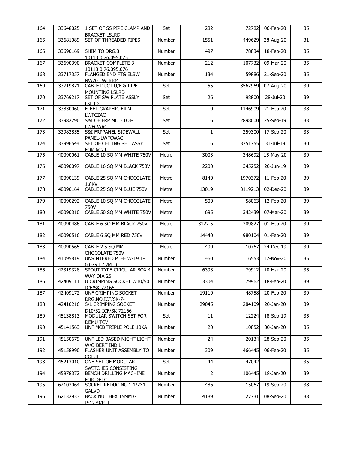| <b>BRACKET LSLRD</b><br>33681089<br>165<br><b>SET OF THREADED PIPES</b><br>Number<br>1551<br>28-Aug-20<br>449629<br>33690169<br>SHIM TO DRG.3<br>497<br>18-Feb-20<br>166<br>Number<br>78834<br>10113.0.76.095.075<br>167<br>33690390<br>212<br>09-Mar-20<br><b>BRACKET COMPLETE 3</b><br>Number<br>107732<br>10113.0.76.095.076<br>33717357<br>168<br><b>FLANGED END FTG ELBW</b><br>134<br>21-Sep-20<br>Number<br>59886<br>NW70-LWLRRM<br>55<br>33719871<br>CABLE DUCT U/F & PIPE<br>Set<br>07-Aug-20<br>169<br>3562969<br><b>MOUNTING LSLRD</b><br>170<br>33769217<br><b>SET OF SW PLATE ASSLY</b><br>26<br>28-Jul-20<br>Set<br>98800<br><b>LSLRD</b><br>171<br>33830060<br><b>FLEET GRAPHIC FILM</b><br>9<br>Set<br>1146909<br>21-Feb-20<br><b>LWFCZAC</b><br>S&I OF FRP MOD TOI-<br>172<br>33982790<br>Set<br>6<br>2898000<br>25-Sep-19<br><b>LWFCWAC</b><br>173<br>33982855<br><b>S&amp;I FRPPANEL SIDEWALL</b><br>Set<br>259300<br>17-Sep-20<br>PANEL-LWFCWAC<br>174<br>33996544<br><b>SET OF CEILING SHT ASSY</b><br>Set<br>31-Jul-19<br>16<br>3751755<br>FOR AC2T<br>CABLE 10 SQ MM WHITE 750V<br>175<br>40090061<br>Metre<br>3003<br>348692<br>15-May-20<br>176<br>40090097<br>CABLE 16 SQ MM BLACK 750V<br>20-Jun-19<br>Metre<br>2200<br>345252<br>CABLE 25 SQ MM CHOCOLATE<br>177<br>40090139<br>Metre<br>8140<br>1970372<br>11-Feb-20<br><b>1.8KV</b><br>CABLE 25 SQ MM BLUE 750V<br>178<br>40090164<br>Metre<br>13019<br>3119213<br>02-Dec-20<br>179<br>40090292<br>CABLE 10 SQ MM CHOCOLATE<br>12-Feb-20<br>Metre<br>500<br>58063<br>750V<br>CABLE 50 SQ MM WHITE 750V<br>40090310<br>Metre<br>180<br>695<br>342439<br>07-Mar-20<br>40090486<br>CABLE 6 SQ MM BLACK 750V<br>3122.5<br>01-Feb-20<br>181<br>Metre<br>209827<br>182<br>40090516<br>CABLE 6 SQ MM RED 750V<br>14440<br>01-Feb-20<br>Metre<br>980104<br>40090565<br>183<br>CABLE 2.5 SQ MM<br>Metre<br>409<br>10767<br>24-Dec-19<br>CHOCOLATE 750V<br>41095819<br>Number<br>460<br>17-Nov-20<br>184<br><b>UNSINTERED PTFE W-19 T-</b><br>16553<br>0.075 L-12MTR<br>42319328<br><b>SPOUT TYPE CIRCULAR BOX 4</b><br>Number<br>6393<br>10-Mar-20<br>185<br>79912<br>WAY DIA 25 |    |
|-------------------------------------------------------------------------------------------------------------------------------------------------------------------------------------------------------------------------------------------------------------------------------------------------------------------------------------------------------------------------------------------------------------------------------------------------------------------------------------------------------------------------------------------------------------------------------------------------------------------------------------------------------------------------------------------------------------------------------------------------------------------------------------------------------------------------------------------------------------------------------------------------------------------------------------------------------------------------------------------------------------------------------------------------------------------------------------------------------------------------------------------------------------------------------------------------------------------------------------------------------------------------------------------------------------------------------------------------------------------------------------------------------------------------------------------------------------------------------------------------------------------------------------------------------------------------------------------------------------------------------------------------------------------------------------------------------------------------------------------------------------------------------------------------------------------------------------------------------------------------------------------------------------------------------------------------------------------------------------------------------------------------------------------------------------------------------------------------------------------------------------------------------|----|
|                                                                                                                                                                                                                                                                                                                                                                                                                                                                                                                                                                                                                                                                                                                                                                                                                                                                                                                                                                                                                                                                                                                                                                                                                                                                                                                                                                                                                                                                                                                                                                                                                                                                                                                                                                                                                                                                                                                                                                                                                                                                                                                                                       |    |
|                                                                                                                                                                                                                                                                                                                                                                                                                                                                                                                                                                                                                                                                                                                                                                                                                                                                                                                                                                                                                                                                                                                                                                                                                                                                                                                                                                                                                                                                                                                                                                                                                                                                                                                                                                                                                                                                                                                                                                                                                                                                                                                                                       | 31 |
|                                                                                                                                                                                                                                                                                                                                                                                                                                                                                                                                                                                                                                                                                                                                                                                                                                                                                                                                                                                                                                                                                                                                                                                                                                                                                                                                                                                                                                                                                                                                                                                                                                                                                                                                                                                                                                                                                                                                                                                                                                                                                                                                                       | 35 |
|                                                                                                                                                                                                                                                                                                                                                                                                                                                                                                                                                                                                                                                                                                                                                                                                                                                                                                                                                                                                                                                                                                                                                                                                                                                                                                                                                                                                                                                                                                                                                                                                                                                                                                                                                                                                                                                                                                                                                                                                                                                                                                                                                       |    |
|                                                                                                                                                                                                                                                                                                                                                                                                                                                                                                                                                                                                                                                                                                                                                                                                                                                                                                                                                                                                                                                                                                                                                                                                                                                                                                                                                                                                                                                                                                                                                                                                                                                                                                                                                                                                                                                                                                                                                                                                                                                                                                                                                       | 35 |
|                                                                                                                                                                                                                                                                                                                                                                                                                                                                                                                                                                                                                                                                                                                                                                                                                                                                                                                                                                                                                                                                                                                                                                                                                                                                                                                                                                                                                                                                                                                                                                                                                                                                                                                                                                                                                                                                                                                                                                                                                                                                                                                                                       | 35 |
|                                                                                                                                                                                                                                                                                                                                                                                                                                                                                                                                                                                                                                                                                                                                                                                                                                                                                                                                                                                                                                                                                                                                                                                                                                                                                                                                                                                                                                                                                                                                                                                                                                                                                                                                                                                                                                                                                                                                                                                                                                                                                                                                                       |    |
|                                                                                                                                                                                                                                                                                                                                                                                                                                                                                                                                                                                                                                                                                                                                                                                                                                                                                                                                                                                                                                                                                                                                                                                                                                                                                                                                                                                                                                                                                                                                                                                                                                                                                                                                                                                                                                                                                                                                                                                                                                                                                                                                                       | 39 |
|                                                                                                                                                                                                                                                                                                                                                                                                                                                                                                                                                                                                                                                                                                                                                                                                                                                                                                                                                                                                                                                                                                                                                                                                                                                                                                                                                                                                                                                                                                                                                                                                                                                                                                                                                                                                                                                                                                                                                                                                                                                                                                                                                       |    |
|                                                                                                                                                                                                                                                                                                                                                                                                                                                                                                                                                                                                                                                                                                                                                                                                                                                                                                                                                                                                                                                                                                                                                                                                                                                                                                                                                                                                                                                                                                                                                                                                                                                                                                                                                                                                                                                                                                                                                                                                                                                                                                                                                       | 39 |
|                                                                                                                                                                                                                                                                                                                                                                                                                                                                                                                                                                                                                                                                                                                                                                                                                                                                                                                                                                                                                                                                                                                                                                                                                                                                                                                                                                                                                                                                                                                                                                                                                                                                                                                                                                                                                                                                                                                                                                                                                                                                                                                                                       | 38 |
|                                                                                                                                                                                                                                                                                                                                                                                                                                                                                                                                                                                                                                                                                                                                                                                                                                                                                                                                                                                                                                                                                                                                                                                                                                                                                                                                                                                                                                                                                                                                                                                                                                                                                                                                                                                                                                                                                                                                                                                                                                                                                                                                                       |    |
|                                                                                                                                                                                                                                                                                                                                                                                                                                                                                                                                                                                                                                                                                                                                                                                                                                                                                                                                                                                                                                                                                                                                                                                                                                                                                                                                                                                                                                                                                                                                                                                                                                                                                                                                                                                                                                                                                                                                                                                                                                                                                                                                                       | 33 |
|                                                                                                                                                                                                                                                                                                                                                                                                                                                                                                                                                                                                                                                                                                                                                                                                                                                                                                                                                                                                                                                                                                                                                                                                                                                                                                                                                                                                                                                                                                                                                                                                                                                                                                                                                                                                                                                                                                                                                                                                                                                                                                                                                       |    |
|                                                                                                                                                                                                                                                                                                                                                                                                                                                                                                                                                                                                                                                                                                                                                                                                                                                                                                                                                                                                                                                                                                                                                                                                                                                                                                                                                                                                                                                                                                                                                                                                                                                                                                                                                                                                                                                                                                                                                                                                                                                                                                                                                       | 33 |
|                                                                                                                                                                                                                                                                                                                                                                                                                                                                                                                                                                                                                                                                                                                                                                                                                                                                                                                                                                                                                                                                                                                                                                                                                                                                                                                                                                                                                                                                                                                                                                                                                                                                                                                                                                                                                                                                                                                                                                                                                                                                                                                                                       | 30 |
|                                                                                                                                                                                                                                                                                                                                                                                                                                                                                                                                                                                                                                                                                                                                                                                                                                                                                                                                                                                                                                                                                                                                                                                                                                                                                                                                                                                                                                                                                                                                                                                                                                                                                                                                                                                                                                                                                                                                                                                                                                                                                                                                                       |    |
|                                                                                                                                                                                                                                                                                                                                                                                                                                                                                                                                                                                                                                                                                                                                                                                                                                                                                                                                                                                                                                                                                                                                                                                                                                                                                                                                                                                                                                                                                                                                                                                                                                                                                                                                                                                                                                                                                                                                                                                                                                                                                                                                                       | 39 |
|                                                                                                                                                                                                                                                                                                                                                                                                                                                                                                                                                                                                                                                                                                                                                                                                                                                                                                                                                                                                                                                                                                                                                                                                                                                                                                                                                                                                                                                                                                                                                                                                                                                                                                                                                                                                                                                                                                                                                                                                                                                                                                                                                       | 39 |
|                                                                                                                                                                                                                                                                                                                                                                                                                                                                                                                                                                                                                                                                                                                                                                                                                                                                                                                                                                                                                                                                                                                                                                                                                                                                                                                                                                                                                                                                                                                                                                                                                                                                                                                                                                                                                                                                                                                                                                                                                                                                                                                                                       |    |
|                                                                                                                                                                                                                                                                                                                                                                                                                                                                                                                                                                                                                                                                                                                                                                                                                                                                                                                                                                                                                                                                                                                                                                                                                                                                                                                                                                                                                                                                                                                                                                                                                                                                                                                                                                                                                                                                                                                                                                                                                                                                                                                                                       | 39 |
|                                                                                                                                                                                                                                                                                                                                                                                                                                                                                                                                                                                                                                                                                                                                                                                                                                                                                                                                                                                                                                                                                                                                                                                                                                                                                                                                                                                                                                                                                                                                                                                                                                                                                                                                                                                                                                                                                                                                                                                                                                                                                                                                                       |    |
|                                                                                                                                                                                                                                                                                                                                                                                                                                                                                                                                                                                                                                                                                                                                                                                                                                                                                                                                                                                                                                                                                                                                                                                                                                                                                                                                                                                                                                                                                                                                                                                                                                                                                                                                                                                                                                                                                                                                                                                                                                                                                                                                                       | 39 |
|                                                                                                                                                                                                                                                                                                                                                                                                                                                                                                                                                                                                                                                                                                                                                                                                                                                                                                                                                                                                                                                                                                                                                                                                                                                                                                                                                                                                                                                                                                                                                                                                                                                                                                                                                                                                                                                                                                                                                                                                                                                                                                                                                       | 39 |
|                                                                                                                                                                                                                                                                                                                                                                                                                                                                                                                                                                                                                                                                                                                                                                                                                                                                                                                                                                                                                                                                                                                                                                                                                                                                                                                                                                                                                                                                                                                                                                                                                                                                                                                                                                                                                                                                                                                                                                                                                                                                                                                                                       |    |
|                                                                                                                                                                                                                                                                                                                                                                                                                                                                                                                                                                                                                                                                                                                                                                                                                                                                                                                                                                                                                                                                                                                                                                                                                                                                                                                                                                                                                                                                                                                                                                                                                                                                                                                                                                                                                                                                                                                                                                                                                                                                                                                                                       | 39 |
|                                                                                                                                                                                                                                                                                                                                                                                                                                                                                                                                                                                                                                                                                                                                                                                                                                                                                                                                                                                                                                                                                                                                                                                                                                                                                                                                                                                                                                                                                                                                                                                                                                                                                                                                                                                                                                                                                                                                                                                                                                                                                                                                                       | 39 |
|                                                                                                                                                                                                                                                                                                                                                                                                                                                                                                                                                                                                                                                                                                                                                                                                                                                                                                                                                                                                                                                                                                                                                                                                                                                                                                                                                                                                                                                                                                                                                                                                                                                                                                                                                                                                                                                                                                                                                                                                                                                                                                                                                       |    |
|                                                                                                                                                                                                                                                                                                                                                                                                                                                                                                                                                                                                                                                                                                                                                                                                                                                                                                                                                                                                                                                                                                                                                                                                                                                                                                                                                                                                                                                                                                                                                                                                                                                                                                                                                                                                                                                                                                                                                                                                                                                                                                                                                       | 39 |
|                                                                                                                                                                                                                                                                                                                                                                                                                                                                                                                                                                                                                                                                                                                                                                                                                                                                                                                                                                                                                                                                                                                                                                                                                                                                                                                                                                                                                                                                                                                                                                                                                                                                                                                                                                                                                                                                                                                                                                                                                                                                                                                                                       |    |
|                                                                                                                                                                                                                                                                                                                                                                                                                                                                                                                                                                                                                                                                                                                                                                                                                                                                                                                                                                                                                                                                                                                                                                                                                                                                                                                                                                                                                                                                                                                                                                                                                                                                                                                                                                                                                                                                                                                                                                                                                                                                                                                                                       | 39 |
|                                                                                                                                                                                                                                                                                                                                                                                                                                                                                                                                                                                                                                                                                                                                                                                                                                                                                                                                                                                                                                                                                                                                                                                                                                                                                                                                                                                                                                                                                                                                                                                                                                                                                                                                                                                                                                                                                                                                                                                                                                                                                                                                                       | 35 |
|                                                                                                                                                                                                                                                                                                                                                                                                                                                                                                                                                                                                                                                                                                                                                                                                                                                                                                                                                                                                                                                                                                                                                                                                                                                                                                                                                                                                                                                                                                                                                                                                                                                                                                                                                                                                                                                                                                                                                                                                                                                                                                                                                       |    |
|                                                                                                                                                                                                                                                                                                                                                                                                                                                                                                                                                                                                                                                                                                                                                                                                                                                                                                                                                                                                                                                                                                                                                                                                                                                                                                                                                                                                                                                                                                                                                                                                                                                                                                                                                                                                                                                                                                                                                                                                                                                                                                                                                       | 35 |
| 42409111<br>3304<br>18-Feb-20<br>186<br>U CRIMPING SOCKET W10/50<br>Number<br>79962                                                                                                                                                                                                                                                                                                                                                                                                                                                                                                                                                                                                                                                                                                                                                                                                                                                                                                                                                                                                                                                                                                                                                                                                                                                                                                                                                                                                                                                                                                                                                                                                                                                                                                                                                                                                                                                                                                                                                                                                                                                                   | 39 |
| <b>ICF/SK 72166</b>                                                                                                                                                                                                                                                                                                                                                                                                                                                                                                                                                                                                                                                                                                                                                                                                                                                                                                                                                                                                                                                                                                                                                                                                                                                                                                                                                                                                                                                                                                                                                                                                                                                                                                                                                                                                                                                                                                                                                                                                                                                                                                                                   |    |
| 42409172<br>Number<br>19119<br>20-Feb-20<br>187<br>UNF CRIMPING SOCKET<br>48758                                                                                                                                                                                                                                                                                                                                                                                                                                                                                                                                                                                                                                                                                                                                                                                                                                                                                                                                                                                                                                                                                                                                                                                                                                                                                                                                                                                                                                                                                                                                                                                                                                                                                                                                                                                                                                                                                                                                                                                                                                                                       | 39 |
| DRG.NO.ICF/SK-7-                                                                                                                                                                                                                                                                                                                                                                                                                                                                                                                                                                                                                                                                                                                                                                                                                                                                                                                                                                                                                                                                                                                                                                                                                                                                                                                                                                                                                                                                                                                                                                                                                                                                                                                                                                                                                                                                                                                                                                                                                                                                                                                                      |    |
| 188<br>42410216<br>Number<br>29045<br>284109<br>20-Jan-20<br>S/L CRIMPING SOCKET                                                                                                                                                                                                                                                                                                                                                                                                                                                                                                                                                                                                                                                                                                                                                                                                                                                                                                                                                                                                                                                                                                                                                                                                                                                                                                                                                                                                                                                                                                                                                                                                                                                                                                                                                                                                                                                                                                                                                                                                                                                                      | 39 |
| D10/32 ICF/SK 72166<br>45138813<br>189<br>Set<br>11<br>18-Sep-19<br>12224<br>MODULAR SWITCH SET FOR                                                                                                                                                                                                                                                                                                                                                                                                                                                                                                                                                                                                                                                                                                                                                                                                                                                                                                                                                                                                                                                                                                                                                                                                                                                                                                                                                                                                                                                                                                                                                                                                                                                                                                                                                                                                                                                                                                                                                                                                                                                   | 35 |
| <b>DEMU TCV</b>                                                                                                                                                                                                                                                                                                                                                                                                                                                                                                                                                                                                                                                                                                                                                                                                                                                                                                                                                                                                                                                                                                                                                                                                                                                                                                                                                                                                                                                                                                                                                                                                                                                                                                                                                                                                                                                                                                                                                                                                                                                                                                                                       |    |
| 20<br>190<br>45141563<br>UNF MCB TRIPLE POLE 10KA<br>30-Jan-20<br>Number<br>10852                                                                                                                                                                                                                                                                                                                                                                                                                                                                                                                                                                                                                                                                                                                                                                                                                                                                                                                                                                                                                                                                                                                                                                                                                                                                                                                                                                                                                                                                                                                                                                                                                                                                                                                                                                                                                                                                                                                                                                                                                                                                     | 35 |
| 45150679<br>24<br>191<br>UNF LED BASED NIGHT LIGHT<br>Number<br>20134<br>28-Sep-20                                                                                                                                                                                                                                                                                                                                                                                                                                                                                                                                                                                                                                                                                                                                                                                                                                                                                                                                                                                                                                                                                                                                                                                                                                                                                                                                                                                                                                                                                                                                                                                                                                                                                                                                                                                                                                                                                                                                                                                                                                                                    | 35 |
| W/O BERT IND I                                                                                                                                                                                                                                                                                                                                                                                                                                                                                                                                                                                                                                                                                                                                                                                                                                                                                                                                                                                                                                                                                                                                                                                                                                                                                                                                                                                                                                                                                                                                                                                                                                                                                                                                                                                                                                                                                                                                                                                                                                                                                                                                        |    |
| 45158990<br>Number<br>309<br>466445<br>06-Feb-20<br>192<br>FLASHER UNIT ASSEMBLY TO                                                                                                                                                                                                                                                                                                                                                                                                                                                                                                                                                                                                                                                                                                                                                                                                                                                                                                                                                                                                                                                                                                                                                                                                                                                                                                                                                                                                                                                                                                                                                                                                                                                                                                                                                                                                                                                                                                                                                                                                                                                                   | 35 |
| COL.II                                                                                                                                                                                                                                                                                                                                                                                                                                                                                                                                                                                                                                                                                                                                                                                                                                                                                                                                                                                                                                                                                                                                                                                                                                                                                                                                                                                                                                                                                                                                                                                                                                                                                                                                                                                                                                                                                                                                                                                                                                                                                                                                                |    |
| 45213010<br>193<br>ONE SET OF MODULAR<br>Set<br>44<br>47042                                                                                                                                                                                                                                                                                                                                                                                                                                                                                                                                                                                                                                                                                                                                                                                                                                                                                                                                                                                                                                                                                                                                                                                                                                                                                                                                                                                                                                                                                                                                                                                                                                                                                                                                                                                                                                                                                                                                                                                                                                                                                           | 35 |
| SWITCHES CONSISTING<br>$\overline{2}$<br>45978372<br>194<br>Number<br>106445<br>18-Jan-20<br><b>BENCH DRILLING MACHINE</b>                                                                                                                                                                                                                                                                                                                                                                                                                                                                                                                                                                                                                                                                                                                                                                                                                                                                                                                                                                                                                                                                                                                                                                                                                                                                                                                                                                                                                                                                                                                                                                                                                                                                                                                                                                                                                                                                                                                                                                                                                            | 39 |
| FOR DETC                                                                                                                                                                                                                                                                                                                                                                                                                                                                                                                                                                                                                                                                                                                                                                                                                                                                                                                                                                                                                                                                                                                                                                                                                                                                                                                                                                                                                                                                                                                                                                                                                                                                                                                                                                                                                                                                                                                                                                                                                                                                                                                                              |    |
| 195<br>62103064<br>SOCKET REDUCING 1 1/2X1<br>Number<br>486<br>15067<br>19-Sep-20                                                                                                                                                                                                                                                                                                                                                                                                                                                                                                                                                                                                                                                                                                                                                                                                                                                                                                                                                                                                                                                                                                                                                                                                                                                                                                                                                                                                                                                                                                                                                                                                                                                                                                                                                                                                                                                                                                                                                                                                                                                                     | 38 |
| <b>GALVD</b><br>196<br>62132933<br>BACK NUT HEX 15MM G<br>27731<br>Number<br>4189<br>08-Sep-20                                                                                                                                                                                                                                                                                                                                                                                                                                                                                                                                                                                                                                                                                                                                                                                                                                                                                                                                                                                                                                                                                                                                                                                                                                                                                                                                                                                                                                                                                                                                                                                                                                                                                                                                                                                                                                                                                                                                                                                                                                                        | 38 |
| <b>IS1239/PTII</b>                                                                                                                                                                                                                                                                                                                                                                                                                                                                                                                                                                                                                                                                                                                                                                                                                                                                                                                                                                                                                                                                                                                                                                                                                                                                                                                                                                                                                                                                                                                                                                                                                                                                                                                                                                                                                                                                                                                                                                                                                                                                                                                                    |    |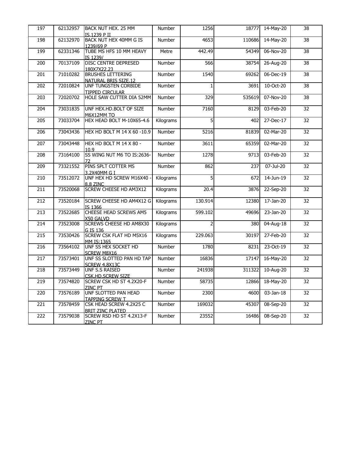| 197 | 62132957 | BACK NUT HEX. 25 MM                                                    | Number    | 1256           | 18777  | 14-May-20               | 38 |
|-----|----------|------------------------------------------------------------------------|-----------|----------------|--------|-------------------------|----|
| 198 | 62132970 | IS.1239 P II<br>BACK NUT HEX 40MM G IS                                 | Number    | 4653           | 110686 | 14-May-20               | 38 |
| 199 | 62331346 | 1239/69 P<br>TUBE MS HFS 10 MM HEAVY                                   | Metre     | 442.49         | 54349  | 06-Nov-20               | 38 |
| 200 | 70137109 | IS 1239/<br><b>DISC CENTRE DEPRESED</b>                                | Number    | 566            | 38754  | 26-Aug-20               | 38 |
| 201 | 71010282 | 180X7X22.23<br><b>BRUSHES LETTERING</b>                                | Number    | 1540           | 69262  | 06-Dec-19               | 38 |
| 202 | 72010824 | NATURAL BRIS SIZE.12<br>UNF TUNGSTEN CORBIDE<br><b>TIPPED CIRCULAR</b> | Number    | -1             | 3691   | 10-Oct-20               | 38 |
| 203 | 72020702 | HOLE SAW CUTTER DIA 52MM                                               | Number    | 329            | 535619 | 07-Nov-20               | 38 |
| 204 | 73031835 | UNF HEX.HD.BOLT OF SIZE<br>M6X12MM TO                                  | Number    | 7160           | 8129   | 03-Feb-20               | 32 |
| 205 | 73033704 | HEX HEAD BOLT M-10X65-4.6                                              | Kilograms | 5              | 402    | 27-Dec-17               | 32 |
| 206 | 73043436 | HEX HD BOLT M 14 X 60 -10.9                                            | Number    | 5216           | 81839  | 02-Mar-20               | 32 |
| 207 | 73043448 | HEX HD BOLT M 14 X 80 -<br>10.9                                        | Number    | 3611           | 65359  | 02-Mar-20               | 32 |
| 208 | 73164100 | SS WING NUT M6 TO IS:2636-                                             | Number    | 1278           | 9713   | 03-Feb-20               | 32 |
| 209 | 73321552 | PINS SPLT COTTER MS<br>3.2X40MM G I                                    | Number    | 862            | 237    | 07-Jul-20               | 32 |
| 210 | 73512072 | UNF HEX HD SCREW M16X40<br>8.8 ZINC                                    | Kilograms | 5              | 672    | 14-Jun-19               | 32 |
| 211 | 73520068 | <b>SCREW CHEESE HD AM3X12</b>                                          | Kilograms | 20.4           | 3876   | 22-Sep-20               | 32 |
| 212 | 73520184 | SCREW CHEESE HD AM4X12 G<br>IS 1366                                    | Kilograms | 130.914        | 12380  | 17-Jan-20               | 32 |
| 213 | 73522685 | CHEESE HEAD SCREWS AM5<br>X50 GALVD                                    | Kilograms | 599.102        | 49696  | 23-Jan-20               | 32 |
| 214 | 73523008 | SCREWS CHEESE HD AM8X30<br>G IS 136                                    | Kilograms | $\overline{2}$ | 380    | 04-Aug-18               | 32 |
| 215 | 73530426 | <b>SCREW CSK FLAT HD M5X16</b><br>IMM IS:1365                          | Kilograms | 229.063        | 30197  | 27-Feb-20               | 32 |
| 216 | 73564102 | UNF SS HEX SOCKET HD<br><b>SCREW M8X16</b>                             | Number    | 1780           | 8231   | 23-Oct-19               | 32 |
| 217 | 73573401 | UNF SS SLOTTED PAN HD TAP<br>SCREW 4.8X13C                             | Number    | 16836          | 17147  | 16-May-20               | 32 |
| 218 | 73573449 | UNF S.S RAISED<br><b>CSK.HD.SCREW SIZE</b>                             | Number    | 241938         | 311322 | 10-Aug-20               | 32 |
| 219 | 73574820 | <b>SCREW CSK HD ST 4.2X20-F</b><br><b>ZINC PT</b>                      | Number    | 58735          | 12866  | $\overline{18}$ -May-20 | 32 |
| 220 | 73576189 | UNF SLOTTED PAN HEAD<br><b>TAPPING SCREW T</b>                         | Number    | 2300           | 4600   | 03-Jan-18               | 32 |
| 221 | 73578459 | CSK HEAD SCREW 4.2X25 C<br><b>BRIT ZINC PLATED</b>                     | Number    | 169032         | 45307  | 08-Sep-20               | 32 |
| 222 | 73579038 | SCREW RSD HD ST 4.2X13-F<br><b>ZINC PT</b>                             | Number    | 23552          | 16486  | 08-Sep-20               | 32 |